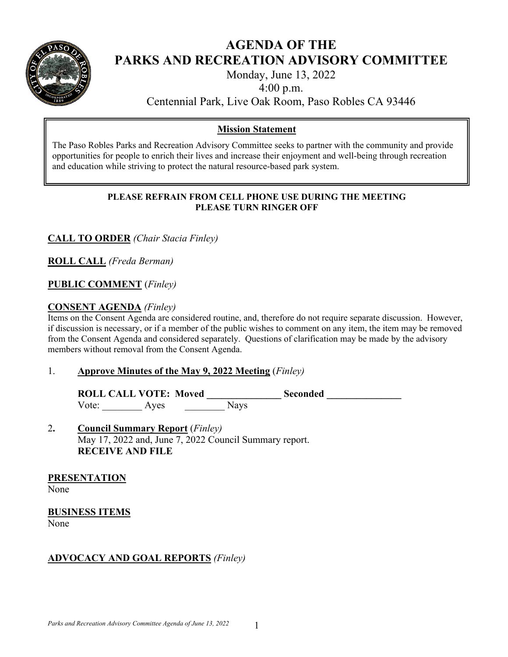

## **AGENDA OF THE PARKS AND RECREATION ADVISORY COMMITTEE**

Monday, June 13, 2022

4:00 p.m.

Centennial Park, Live Oak Room, Paso Robles CA 93446

## **Mission Statement**

The Paso Robles Parks and Recreation Advisory Committee seeks to partner with the community and provide opportunities for people to enrich their lives and increase their enjoyment and well-being through recreation and education while striving to protect the natural resource-based park system.

### **PLEASE REFRAIN FROM CELL PHONE USE DURING THE MEETING PLEASE TURN RINGER OFF**

**CALL TO ORDER** *(Chair Stacia Finley)* 

**ROLL CALL** *(Freda Berman)* 

## **PUBLIC COMMENT** (*Finley)*

## **CONSENT AGENDA** *(Finley)*

Items on the Consent Agenda are considered routine, and, therefore do not require separate discussion. However, if discussion is necessary, or if a member of the public wishes to comment on any item, the item may be removed from the Consent Agenda and considered separately. Questions of clarification may be made by the advisory members without removal from the Consent Agenda.

### 1. **Approve Minutes of the May 9, 2022 Meeting** (*Finley)*

ROLL CALL VOTE: Moved Seconded Vote: Ayes Nays

## 2**. Council Summary Report** (*Finley)* May 17, 2022 and, June 7, 2022 Council Summary report. **RECEIVE AND FILE**

**PRESENTATION** 

None

# **BUSINESS ITEMS**

None

## **ADVOCACY AND GOAL REPORTS** *(Finley)*